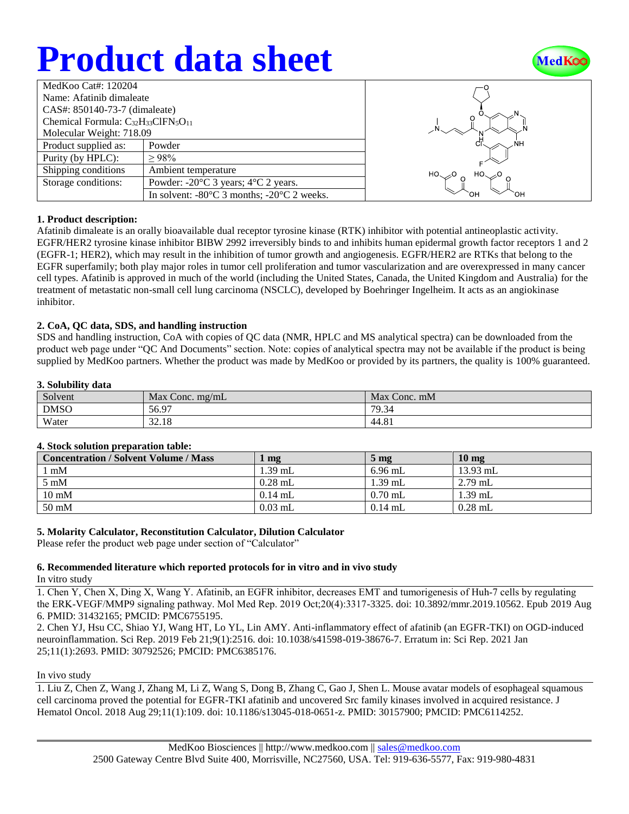# **Product data sheet**



| MedKoo Cat#: 120204                          |                                                                |  |  |  |
|----------------------------------------------|----------------------------------------------------------------|--|--|--|
| Name: Afatinib dimaleate                     |                                                                |  |  |  |
| CAS#: 850140-73-7 (dimaleate)                |                                                                |  |  |  |
| Chemical Formula: $C_{32}H_{33}CIFN_5O_{11}$ |                                                                |  |  |  |
| Molecular Weight: 718.09                     |                                                                |  |  |  |
| Product supplied as:                         | Powder                                                         |  |  |  |
| Purity (by HPLC):                            | >98%                                                           |  |  |  |
| Shipping conditions                          | Ambient temperature                                            |  |  |  |
| Storage conditions:                          | Powder: -20°C 3 years; 4°C 2 years.                            |  |  |  |
|                                              | In solvent: $-80^{\circ}$ C 3 months; $-20^{\circ}$ C 2 weeks. |  |  |  |



#### **1. Product description:**

Afatinib dimaleate is an orally bioavailable dual receptor tyrosine kinase (RTK) inhibitor with potential antineoplastic activity. EGFR/HER2 tyrosine kinase inhibitor BIBW 2992 irreversibly binds to and inhibits human epidermal growth factor receptors 1 and 2 (EGFR-1; HER2), which may result in the inhibition of tumor growth and angiogenesis. EGFR/HER2 are RTKs that belong to the EGFR superfamily; both play major roles in tumor cell proliferation and tumor vascularization and are overexpressed in many cancer cell types. Afatinib is approved in much of the world (including the United States, Canada, the United Kingdom and Australia) for the treatment of metastatic non-small cell lung carcinoma (NSCLC), developed by Boehringer Ingelheim. It acts as an angiokinase inhibitor.

#### **2. CoA, QC data, SDS, and handling instruction**

SDS and handling instruction, CoA with copies of QC data (NMR, HPLC and MS analytical spectra) can be downloaded from the product web page under "QC And Documents" section. Note: copies of analytical spectra may not be available if the product is being supplied by MedKoo partners. Whether the product was made by MedKoo or provided by its partners, the quality is 100% guaranteed.

#### **3. Solubility data**

| Solvent     | Max Conc. mg/mL | Max Conc. mM |
|-------------|-----------------|--------------|
| <b>DMSO</b> | 56.97           | 79.34        |
| Water       | 32.18           | 44.81        |

#### **4. Stock solution preparation table:**

| <b>Concentration / Solvent Volume / Mass</b> | mg        | 5 <sub>mg</sub> | 10 <sub>mg</sub> |
|----------------------------------------------|-----------|-----------------|------------------|
| l mM                                         | 1.39 mL   | $6.96$ mL       | $13.93$ mL       |
| $5 \text{ mM}$                               | $0.28$ mL | $1.39$ mL       | $2.79$ mL        |
| $10 \text{ mM}$                              | $0.14$ mL | $0.70$ mL       | 1.39 mL          |
| $50 \text{ mM}$                              | $0.03$ mL | $0.14$ mL       | $0.28$ mL        |

#### **5. Molarity Calculator, Reconstitution Calculator, Dilution Calculator**

Please refer the product web page under section of "Calculator"

### **6. Recommended literature which reported protocols for in vitro and in vivo study**

In vitro study

1. Chen Y, Chen X, Ding X, Wang Y. Afatinib, an EGFR inhibitor, decreases EMT and tumorigenesis of Huh-7 cells by regulating the ERK‑VEGF/MMP9 signaling pathway. Mol Med Rep. 2019 Oct;20(4):3317-3325. doi: 10.3892/mmr.2019.10562. Epub 2019 Aug 6. PMID: 31432165; PMCID: PMC6755195.

2. Chen YJ, Hsu CC, Shiao YJ, Wang HT, Lo YL, Lin AMY. Anti-inflammatory effect of afatinib (an EGFR-TKI) on OGD-induced neuroinflammation. Sci Rep. 2019 Feb 21;9(1):2516. doi: 10.1038/s41598-019-38676-7. Erratum in: Sci Rep. 2021 Jan 25;11(1):2693. PMID: 30792526; PMCID: PMC6385176.

#### In vivo study

1. Liu Z, Chen Z, Wang J, Zhang M, Li Z, Wang S, Dong B, Zhang C, Gao J, Shen L. Mouse avatar models of esophageal squamous cell carcinoma proved the potential for EGFR-TKI afatinib and uncovered Src family kinases involved in acquired resistance. J Hematol Oncol. 2018 Aug 29;11(1):109. doi: 10.1186/s13045-018-0651-z. PMID: 30157900; PMCID: PMC6114252.